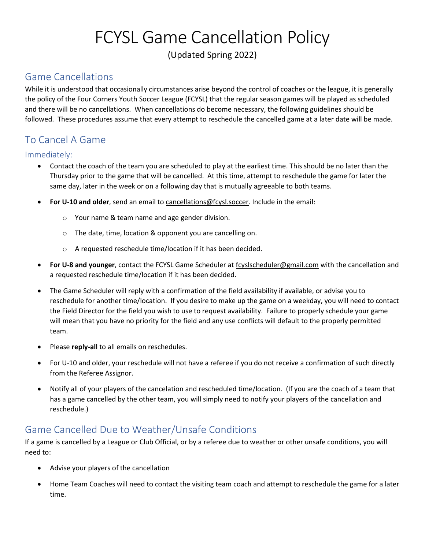# FCYSL Game Cancellation Policy

(Updated Spring 2022)

# Game Cancellations

While it is understood that occasionally circumstances arise beyond the control of coaches or the league, it is generally the policy of the Four Corners Youth Soccer League (FCYSL) that the regular season games will be played as scheduled and there will be no cancellations. When cancellations do become necessary, the following guidelines should be followed. These procedures assume that every attempt to reschedule the cancelled game at a later date will be made.

# To Cancel A Game

#### Immediately:

- Contact the coach of the team you are scheduled to play at the earliest time. This should be no later than the Thursday prior to the game that will be cancelled. At this time, attempt to reschedule the game for later the same day, later in the week or on a following day that is mutually agreeable to both teams.
- **For U-10 and older**, send an email to cancellations@fcysl.soccer. Include in the email:
	- o Your name & team name and age gender division.
	- o The date, time, location & opponent you are cancelling on.
	- o A requested reschedule time/location if it has been decided.
- **For U-8 and younger**, contact the FCYSL Game Scheduler at fcyslscheduler@gmail.com with the cancellation and a requested reschedule time/location if it has been decided.
- The Game Scheduler will reply with a confirmation of the field availability if available, or advise you to reschedule for another time/location. If you desire to make up the game on a weekday, you will need to contact the Field Director for the field you wish to use to request availability. Failure to properly schedule your game will mean that you have no priority for the field and any use conflicts will default to the properly permitted team.
- Please **reply-all** to all emails on reschedules.
- For U-10 and older, your reschedule will not have a referee if you do not receive a confirmation of such directly from the Referee Assignor.
- Notify all of your players of the cancelation and rescheduled time/location. (If you are the coach of a team that has a game cancelled by the other team, you will simply need to notify your players of the cancellation and reschedule.)

# Game Cancelled Due to Weather/Unsafe Conditions

If a game is cancelled by a League or Club Official, or by a referee due to weather or other unsafe conditions, you will need to:

- Advise your players of the cancellation
- Home Team Coaches will need to contact the visiting team coach and attempt to reschedule the game for a later time.